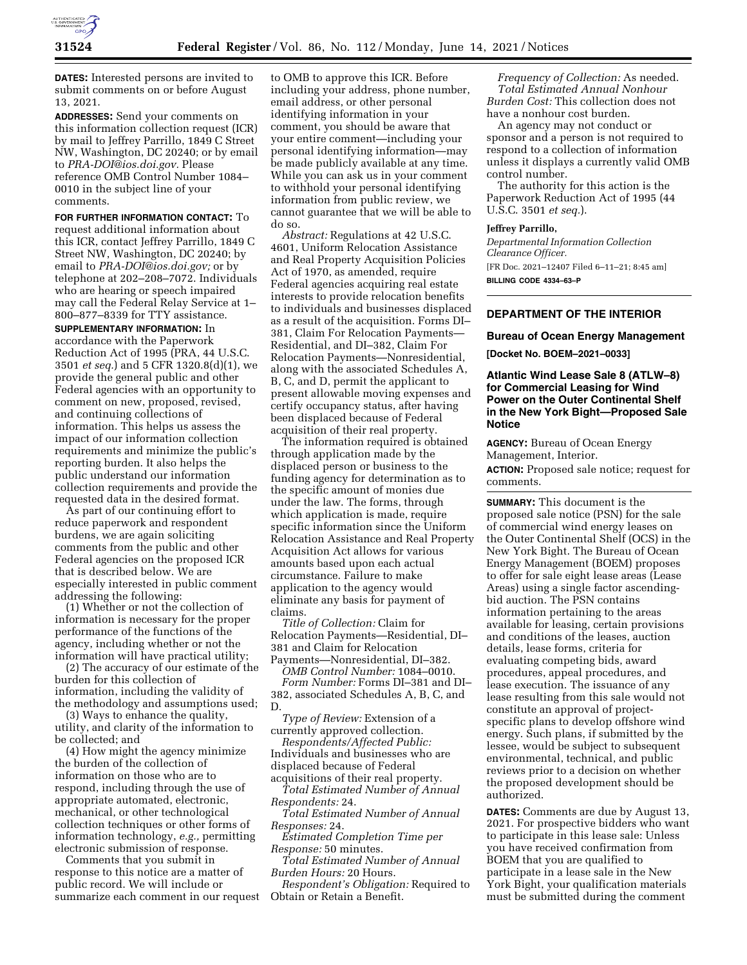

**DATES:** Interested persons are invited to submit comments on or before August 13, 2021.

**ADDRESSES:** Send your comments on this information collection request (ICR) by mail to Jeffrey Parrillo, 1849 C Street NW, Washington, DC 20240; or by email to *[PRA-DOI@ios.doi.gov.](mailto:PRA-DOI@ios.doi.gov)* Please reference OMB Control Number 1084– 0010 in the subject line of your comments.

**FOR FURTHER INFORMATION CONTACT:** To request additional information about this ICR, contact Jeffrey Parrillo, 1849 C Street NW, Washington, DC 20240; by email to *[PRA-DOI@ios.doi.gov;](mailto:PRA-DOI@ios.doi.gov)* or by telephone at 202–208–7072. Individuals who are hearing or speech impaired may call the Federal Relay Service at 1– 800–877–8339 for TTY assistance.

**SUPPLEMENTARY INFORMATION:** In accordance with the Paperwork Reduction Act of 1995 (PRA, 44 U.S.C. 3501 *et seq.*) and 5 CFR 1320.8(d)(1), we provide the general public and other Federal agencies with an opportunity to comment on new, proposed, revised, and continuing collections of information. This helps us assess the impact of our information collection requirements and minimize the public's reporting burden. It also helps the public understand our information collection requirements and provide the requested data in the desired format.

As part of our continuing effort to reduce paperwork and respondent burdens, we are again soliciting comments from the public and other Federal agencies on the proposed ICR that is described below. We are especially interested in public comment addressing the following:

(1) Whether or not the collection of information is necessary for the proper performance of the functions of the agency, including whether or not the information will have practical utility;

(2) The accuracy of our estimate of the burden for this collection of information, including the validity of the methodology and assumptions used;

(3) Ways to enhance the quality, utility, and clarity of the information to be collected; and

(4) How might the agency minimize the burden of the collection of information on those who are to respond, including through the use of appropriate automated, electronic, mechanical, or other technological collection techniques or other forms of information technology, *e.g.,* permitting electronic submission of response.

Comments that you submit in response to this notice are a matter of public record. We will include or summarize each comment in our request

to OMB to approve this ICR. Before including your address, phone number, email address, or other personal identifying information in your comment, you should be aware that your entire comment—including your personal identifying information—may be made publicly available at any time. While you can ask us in your comment to withhold your personal identifying information from public review, we cannot guarantee that we will be able to do so.

*Abstract:* Regulations at 42 U.S.C. 4601, Uniform Relocation Assistance and Real Property Acquisition Policies Act of 1970, as amended, require Federal agencies acquiring real estate interests to provide relocation benefits to individuals and businesses displaced as a result of the acquisition. Forms DI– 381, Claim For Relocation Payments— Residential, and DI–382, Claim For Relocation Payments—Nonresidential, along with the associated Schedules A, B, C, and D, permit the applicant to present allowable moving expenses and certify occupancy status, after having been displaced because of Federal acquisition of their real property.

The information required is obtained through application made by the displaced person or business to the funding agency for determination as to the specific amount of monies due under the law. The forms, through which application is made, require specific information since the Uniform Relocation Assistance and Real Property Acquisition Act allows for various amounts based upon each actual circumstance. Failure to make application to the agency would eliminate any basis for payment of claims.

*Title of Collection:* Claim for Relocation Payments—Residential, DI– 381 and Claim for Relocation Payments—Nonresidential, DI–382.

*OMB Control Number:* 1084–0010. *Form Number:* Forms DI–381 and DI– 382, associated Schedules A, B, C, and D.

*Type of Review:* Extension of a currently approved collection.

*Respondents/Affected Public:*  Individuals and businesses who are displaced because of Federal acquisitions of their real property.

*Total Estimated Number of Annual Respondents:* 24.

*Total Estimated Number of Annual Responses:* 24.

*Estimated Completion Time per Response:* 50 minutes.

*Total Estimated Number of Annual Burden Hours:* 20 Hours.

*Respondent's Obligation:* Required to Obtain or Retain a Benefit.

*Frequency of Collection:* As needed. *Total Estimated Annual Nonhour Burden Cost:* This collection does not have a nonhour cost burden.

An agency may not conduct or sponsor and a person is not required to respond to a collection of information unless it displays a currently valid OMB control number.

The authority for this action is the Paperwork Reduction Act of 1995 (44 U.S.C. 3501 *et seq.*).

#### **Jeffrey Parrillo,**

*Departmental Information Collection Clearance Officer.*  [FR Doc. 2021–12407 Filed 6–11–21; 8:45 am] **BILLING CODE 4334–63–P** 

## **DEPARTMENT OF THE INTERIOR**

#### **Bureau of Ocean Energy Management**

**[Docket No. BOEM–2021–0033]** 

## **Atlantic Wind Lease Sale 8 (ATLW–8) for Commercial Leasing for Wind Power on the Outer Continental Shelf in the New York Bight—Proposed Sale Notice**

**AGENCY:** Bureau of Ocean Energy Management, Interior. **ACTION:** Proposed sale notice; request for comments.

**SUMMARY:** This document is the proposed sale notice (PSN) for the sale of commercial wind energy leases on the Outer Continental Shelf (OCS) in the New York Bight. The Bureau of Ocean Energy Management (BOEM) proposes to offer for sale eight lease areas (Lease Areas) using a single factor ascendingbid auction. The PSN contains information pertaining to the areas available for leasing, certain provisions and conditions of the leases, auction details, lease forms, criteria for evaluating competing bids, award procedures, appeal procedures, and lease execution. The issuance of any lease resulting from this sale would not constitute an approval of projectspecific plans to develop offshore wind energy. Such plans, if submitted by the lessee, would be subject to subsequent environmental, technical, and public reviews prior to a decision on whether the proposed development should be authorized.

**DATES:** Comments are due by August 13, 2021. For prospective bidders who want to participate in this lease sale: Unless you have received confirmation from BOEM that you are qualified to participate in a lease sale in the New York Bight, your qualification materials must be submitted during the comment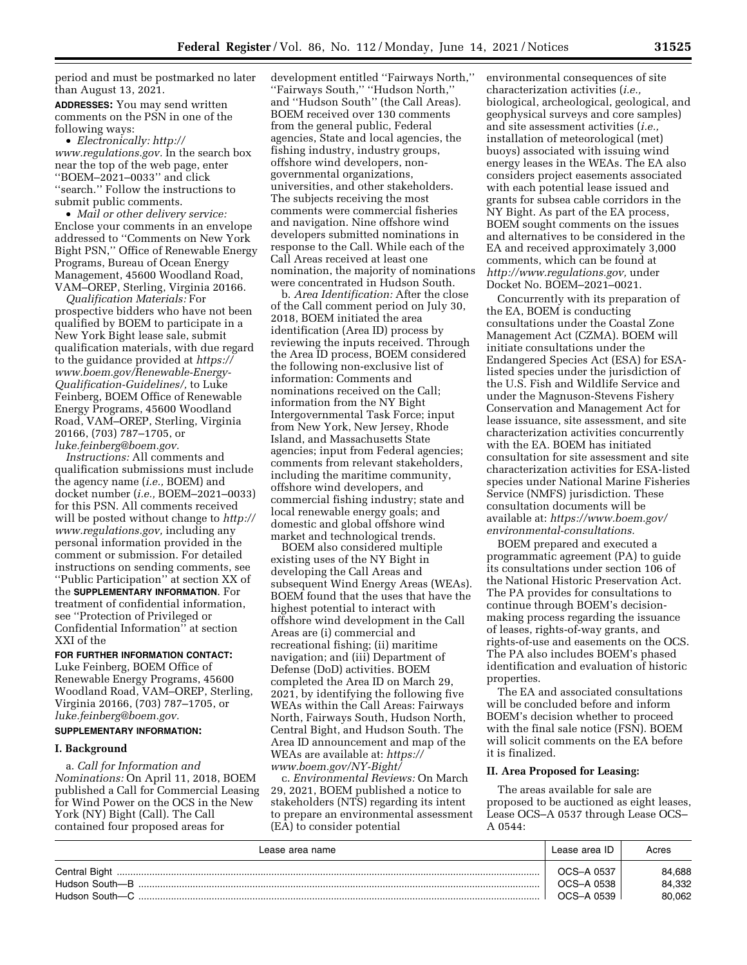period and must be postmarked no later than August 13, 2021.

**ADDRESSES:** You may send written comments on the PSN in one of the following ways:

• *Electronically: [http://](http://www.regulations.gov) [www.regulations.gov.](http://www.regulations.gov)* In the search box near the top of the web page, enter ''BOEM–2021–0033'' and click ''search.'' Follow the instructions to submit public comments.

• *Mail or other delivery service:*  Enclose your comments in an envelope addressed to ''Comments on New York Bight PSN,'' Office of Renewable Energy Programs, Bureau of Ocean Energy Management, 45600 Woodland Road, VAM–OREP, Sterling, Virginia 20166.

*Qualification Materials:* For prospective bidders who have not been qualified by BOEM to participate in a New York Bight lease sale, submit qualification materials, with due regard to the guidance provided at *[https://](https://www.boem.gov/Renewable-Energy-Qualification-Guidelines/) [www.boem.gov/Renewable-Energy-](https://www.boem.gov/Renewable-Energy-Qualification-Guidelines/)[Qualification-Guidelines/,](https://www.boem.gov/Renewable-Energy-Qualification-Guidelines/)* to Luke Feinberg, BOEM Office of Renewable Energy Programs, 45600 Woodland Road, VAM–OREP, Sterling, Virginia 20166, (703) 787–1705, or *[luke.feinberg@boem.gov.](mailto:luke.feinberg@boem.gov)* 

*Instructions:* All comments and qualification submissions must include the agency name (*i.e.,* BOEM) and docket number (*i.e.,* BOEM–2021–0033) for this PSN. All comments received will be posted without change to *[http://](http://www.regulations.gov) [www.regulations.gov,](http://www.regulations.gov)* including any personal information provided in the comment or submission. For detailed instructions on sending comments, see ''Public Participation'' at section XX of the **SUPPLEMENTARY INFORMATION**. For treatment of confidential information, see ''Protection of Privileged or Confidential Information'' at section XXI of the

**FOR FURTHER INFORMATION CONTACT:**  Luke Feinberg, BOEM Office of Renewable Energy Programs, 45600 Woodland Road, VAM–OREP, Sterling, Virginia 20166, (703) 787–1705, or *[luke.feinberg@boem.gov.](mailto:luke.feinberg@boem.gov)* 

# **SUPPLEMENTARY INFORMATION:**

## **I. Background**

a. *Call for Information and Nominations:* On April 11, 2018, BOEM published a Call for Commercial Leasing for Wind Power on the OCS in the New York (NY) Bight (Call). The Call contained four proposed areas for

development entitled ''Fairways North,'' ''Fairways South,'' ''Hudson North,'' and ''Hudson South'' (the Call Areas). BOEM received over 130 comments from the general public, Federal agencies, State and local agencies, the fishing industry, industry groups, offshore wind developers, nongovernmental organizations, universities, and other stakeholders. The subjects receiving the most comments were commercial fisheries and navigation. Nine offshore wind developers submitted nominations in response to the Call. While each of the Call Areas received at least one nomination, the majority of nominations were concentrated in Hudson South.

b. *Area Identification:* After the close of the Call comment period on July 30, 2018, BOEM initiated the area identification (Area ID) process by reviewing the inputs received. Through the Area ID process, BOEM considered the following non-exclusive list of information: Comments and nominations received on the Call; information from the NY Bight Intergovernmental Task Force; input from New York, New Jersey, Rhode Island, and Massachusetts State agencies; input from Federal agencies; comments from relevant stakeholders, including the maritime community, offshore wind developers, and commercial fishing industry; state and local renewable energy goals; and domestic and global offshore wind market and technological trends.

BOEM also considered multiple existing uses of the NY Bight in developing the Call Areas and subsequent Wind Energy Areas (WEAs). BOEM found that the uses that have the highest potential to interact with offshore wind development in the Call Areas are (i) commercial and recreational fishing; (ii) maritime navigation; and (iii) Department of Defense (DoD) activities. BOEM completed the Area ID on March 29, 2021, by identifying the following five WEAs within the Call Areas: Fairways North, Fairways South, Hudson North, Central Bight, and Hudson South. The Area ID announcement and map of the WEAs are available at: *[https://](https://www.boem.gov/NY-Bight/) [www.boem.gov/NY-Bight/](https://www.boem.gov/NY-Bight/)* 

c. *Environmental Reviews:* On March 29, 2021, BOEM published a notice to stakeholders (NTS) regarding its intent to prepare an environmental assessment (EA) to consider potential

environmental consequences of site characterization activities (*i.e.,*  biological, archeological, geological, and geophysical surveys and core samples) and site assessment activities (*i.e.,*  installation of meteorological (met) buoys) associated with issuing wind energy leases in the WEAs. The EA also considers project easements associated with each potential lease issued and grants for subsea cable corridors in the NY Bight. As part of the EA process, BOEM sought comments on the issues and alternatives to be considered in the EA and received approximately 3,000 comments, which can be found at *[http://www.regulations.gov,](http://www.regulations.gov)* under Docket No. BOEM–2021–0021.

Concurrently with its preparation of the EA, BOEM is conducting consultations under the Coastal Zone Management Act (CZMA). BOEM will initiate consultations under the Endangered Species Act (ESA) for ESAlisted species under the jurisdiction of the U.S. Fish and Wildlife Service and under the Magnuson-Stevens Fishery Conservation and Management Act for lease issuance, site assessment, and site characterization activities concurrently with the EA. BOEM has initiated consultation for site assessment and site characterization activities for ESA-listed species under National Marine Fisheries Service (NMFS) jurisdiction. These consultation documents will be available at: *[https://www.boem.gov/](https://www.boem.gov/environmental-consultations) [environmental-consultations.](https://www.boem.gov/environmental-consultations)* 

BOEM prepared and executed a programmatic agreement (PA) to guide its consultations under section 106 of the National Historic Preservation Act. The PA provides for consultations to continue through BOEM's decisionmaking process regarding the issuance of leases, rights-of-way grants, and rights-of-use and easements on the OCS. The PA also includes BOEM's phased identification and evaluation of historic properties.

The EA and associated consultations will be concluded before and inform BOEM's decision whether to proceed with the final sale notice (FSN). BOEM will solicit comments on the EA before it is finalized.

### **II. Area Proposed for Leasing:**

The areas available for sale are proposed to be auctioned as eight leases, Lease OCS–A 0537 through Lease OCS– A 0544:

| Lease area name | Lease area ID            | Acres            |
|-----------------|--------------------------|------------------|
| Hudson South--B | OCS-A 0537<br>OCS-A 0538 | 84.688<br>84.332 |
| Hudson South—C  | OCS-A 0539               | 80.062           |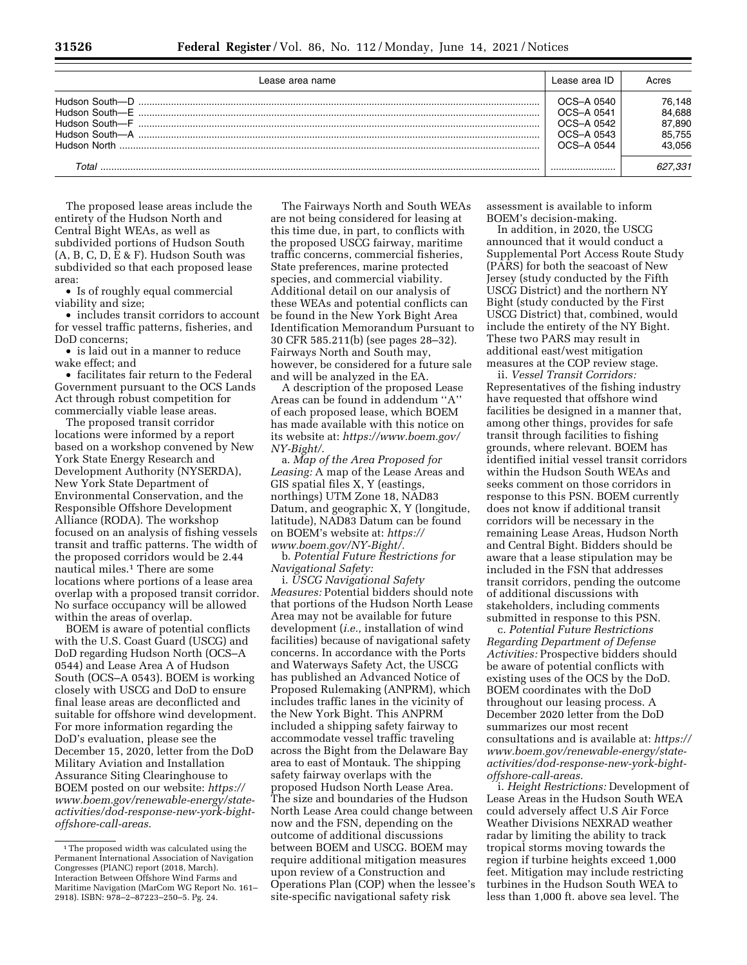| Lease area name                | Lease area ID                                                      | Acres                                          |
|--------------------------------|--------------------------------------------------------------------|------------------------------------------------|
| Hudson South-D<br>Hudson North | OCS-A 0540<br>OCS-A 0541<br>OCS-A 0542<br>OCS-A 0543<br>OCS-A 0544 | 76,148<br>84,688<br>87.890<br>85,755<br>43.056 |
| Total                          |                                                                    | 627.331                                        |

The proposed lease areas include the entirety of the Hudson North and Central Bight WEAs, as well as subdivided portions of Hudson South (A, B, C, D, E & F). Hudson South was subdivided so that each proposed lease area:

• Is of roughly equal commercial viability and size;

• includes transit corridors to account for vessel traffic patterns, fisheries, and DoD concerns;

• is laid out in a manner to reduce wake effect; and

• facilitates fair return to the Federal Government pursuant to the OCS Lands Act through robust competition for commercially viable lease areas.

The proposed transit corridor locations were informed by a report based on a workshop convened by New York State Energy Research and Development Authority (NYSERDA), New York State Department of Environmental Conservation, and the Responsible Offshore Development Alliance (RODA). The workshop focused on an analysis of fishing vessels transit and traffic patterns. The width of the proposed corridors would be 2.44 nautical miles.1 There are some locations where portions of a lease area overlap with a proposed transit corridor. No surface occupancy will be allowed within the areas of overlap.

BOEM is aware of potential conflicts with the U.S. Coast Guard (USCG) and DoD regarding Hudson North (OCS–A 0544) and Lease Area A of Hudson South (OCS–A 0543). BOEM is working closely with USCG and DoD to ensure final lease areas are deconflicted and suitable for offshore wind development. For more information regarding the DoD's evaluation, please see the December 15, 2020, letter from the DoD Military Aviation and Installation Assurance Siting Clearinghouse to BOEM posted on our website: *[https://](https://www.boem.gov/renewable-energy/state-activities/dod-response-new-york-bight-offshore-call-areas) [www.boem.gov/renewable-energy/state](https://www.boem.gov/renewable-energy/state-activities/dod-response-new-york-bight-offshore-call-areas)[activities/dod-response-new-york-bight](https://www.boem.gov/renewable-energy/state-activities/dod-response-new-york-bight-offshore-call-areas)[offshore-call-areas.](https://www.boem.gov/renewable-energy/state-activities/dod-response-new-york-bight-offshore-call-areas)* 

The Fairways North and South WEAs are not being considered for leasing at this time due, in part, to conflicts with the proposed USCG fairway, maritime traffic concerns, commercial fisheries, State preferences, marine protected species, and commercial viability. Additional detail on our analysis of these WEAs and potential conflicts can be found in the New York Bight Area Identification Memorandum Pursuant to 30 CFR 585.211(b) (see pages 28–32). Fairways North and South may, however, be considered for a future sale and will be analyzed in the EA.

A description of the proposed Lease Areas can be found in addendum ''A'' of each proposed lease, which BOEM has made available with this notice on its website at: *[https://www.boem.gov/](https://www.boem.gov/NY-Bight/) [NY-Bight/](https://www.boem.gov/NY-Bight/)*.

a. *Map of the Area Proposed for Leasing:* A map of the Lease Areas and GIS spatial files X, Y (eastings, northings) UTM Zone 18, NAD83 Datum, and geographic X, Y (longitude, latitude), NAD83 Datum can be found on BOEM's website at: *[https://](https://www.boem.gov/NY-Bight/) [www.boem.gov/NY-Bight/.](https://www.boem.gov/NY-Bight/)* 

b. *Potential Future Restrictions for Navigational Safety:* 

i. *USCG Navigational Safety Measures:* Potential bidders should note that portions of the Hudson North Lease Area may not be available for future development (*i.e.,* installation of wind facilities) because of navigational safety concerns. In accordance with the Ports and Waterways Safety Act, the USCG has published an Advanced Notice of Proposed Rulemaking (ANPRM), which includes traffic lanes in the vicinity of the New York Bight. This ANPRM included a shipping safety fairway to accommodate vessel traffic traveling across the Bight from the Delaware Bay area to east of Montauk. The shipping safety fairway overlaps with the proposed Hudson North Lease Area. The size and boundaries of the Hudson North Lease Area could change between now and the FSN, depending on the outcome of additional discussions between BOEM and USCG. BOEM may require additional mitigation measures upon review of a Construction and Operations Plan (COP) when the lessee's site-specific navigational safety risk

assessment is available to inform BOEM's decision-making.

In addition, in 2020, the USCG announced that it would conduct a Supplemental Port Access Route Study (PARS) for both the seacoast of New Jersey (study conducted by the Fifth USCG District) and the northern NY Bight (study conducted by the First USCG District) that, combined, would include the entirety of the NY Bight. These two PARS may result in additional east/west mitigation measures at the COP review stage.

ii. *Vessel Transit Corridors:*  Representatives of the fishing industry have requested that offshore wind facilities be designed in a manner that, among other things, provides for safe transit through facilities to fishing grounds, where relevant. BOEM has identified initial vessel transit corridors within the Hudson South WEAs and seeks comment on those corridors in response to this PSN. BOEM currently does not know if additional transit corridors will be necessary in the remaining Lease Areas, Hudson North and Central Bight. Bidders should be aware that a lease stipulation may be included in the FSN that addresses transit corridors, pending the outcome of additional discussions with stakeholders, including comments submitted in response to this PSN.

c. *Potential Future Restrictions Regarding Department of Defense Activities:* Prospective bidders should be aware of potential conflicts with existing uses of the OCS by the DoD. BOEM coordinates with the DoD throughout our leasing process. A December 2020 letter from the DoD summarizes our most recent consultations and is available at: *[https://](https://www.boem.gov/renewable-energy/state-activities/dod-response-new-york-bight-offshore-call-areas)  [www.boem.gov/renewable-energy/state](https://www.boem.gov/renewable-energy/state-activities/dod-response-new-york-bight-offshore-call-areas)[activities/dod-response-new-york-bight](https://www.boem.gov/renewable-energy/state-activities/dod-response-new-york-bight-offshore-call-areas)[offshore-call-areas.](https://www.boem.gov/renewable-energy/state-activities/dod-response-new-york-bight-offshore-call-areas)* 

i. *Height Restrictions:* Development of Lease Areas in the Hudson South WEA could adversely affect U.S Air Force Weather Divisions NEXRAD weather radar by limiting the ability to track tropical storms moving towards the region if turbine heights exceed 1,000 feet. Mitigation may include restricting turbines in the Hudson South WEA to less than 1,000 ft. above sea level. The

<sup>&</sup>lt;sup>1</sup>The proposed width was calculated using the Permanent International Association of Navigation Congresses (PIANC) report (2018, March). Interaction Between Offshore Wind Farms and Maritime Navigation (MarCom WG Report No. 161– 2918). ISBN: 978–2–87223–250–5. Pg. 24.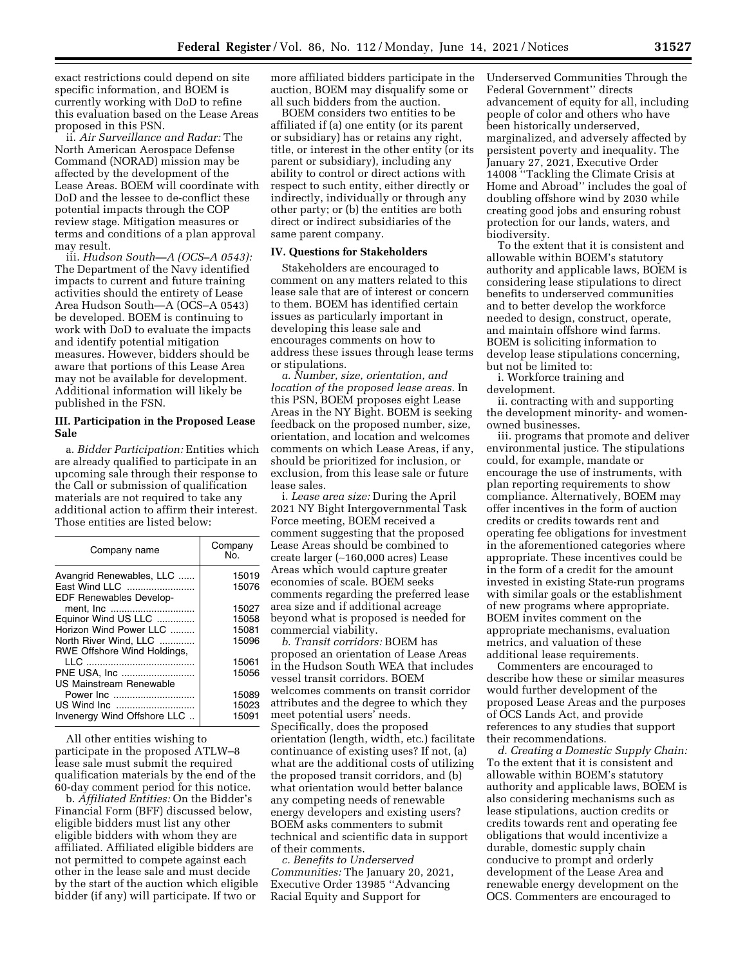exact restrictions could depend on site specific information, and BOEM is currently working with DoD to refine this evaluation based on the Lease Areas proposed in this PSN.

ii. *Air Surveillance and Radar:* The North American Aerospace Defense Command (NORAD) mission may be affected by the development of the Lease Areas. BOEM will coordinate with DoD and the lessee to de-conflict these potential impacts through the COP review stage. Mitigation measures or terms and conditions of a plan approval may result.

iii. *Hudson South—A (OCS–A 0543):*  The Department of the Navy identified impacts to current and future training activities should the entirety of Lease Area Hudson South—A (OCS–A 0543) be developed. BOEM is continuing to work with DoD to evaluate the impacts and identify potential mitigation measures. However, bidders should be aware that portions of this Lease Area may not be available for development. Additional information will likely be published in the FSN.

## **III. Participation in the Proposed Lease Sale**

a. *Bidder Participation:* Entities which are already qualified to participate in an upcoming sale through their response to the Call or submission of qualification materials are not required to take any additional action to affirm their interest. Those entities are listed below:

| Company name                                         | Company<br>No. |
|------------------------------------------------------|----------------|
| Avangrid Renewables, LLC                             | 15019          |
| East Wind LLC<br><b>EDF Renewables Develop-</b>      | 15076          |
|                                                      | 15027          |
| Equinor Wind US LLC                                  | 15058          |
| Horizon Wind Power LLC                               | 15081          |
| North River Wind, LLC<br>RWE Offshore Wind Holdings, | 15096          |
|                                                      | 15061          |
| PNE USA, Inc                                         | 15056          |
| US Mainstream Renewable                              |                |
| Power Inc                                            | 15089          |
|                                                      | 15023          |
| Invenergy Wind Offshore LLC                          | 15091          |

All other entities wishing to participate in the proposed ATLW–8 lease sale must submit the required qualification materials by the end of the 60-day comment period for this notice.

b. *Affiliated Entities:* On the Bidder's Financial Form (BFF) discussed below, eligible bidders must list any other eligible bidders with whom they are affiliated. Affiliated eligible bidders are not permitted to compete against each other in the lease sale and must decide by the start of the auction which eligible bidder (if any) will participate. If two or

more affiliated bidders participate in the auction, BOEM may disqualify some or all such bidders from the auction.

BOEM considers two entities to be affiliated if (a) one entity (or its parent or subsidiary) has or retains any right, title, or interest in the other entity (or its parent or subsidiary), including any ability to control or direct actions with respect to such entity, either directly or indirectly, individually or through any other party; or (b) the entities are both direct or indirect subsidiaries of the same parent company.

### **IV. Questions for Stakeholders**

Stakeholders are encouraged to comment on any matters related to this lease sale that are of interest or concern to them. BOEM has identified certain issues as particularly important in developing this lease sale and encourages comments on how to address these issues through lease terms or stipulations.

*a. Number, size, orientation, and location of the proposed lease areas.* In this PSN, BOEM proposes eight Lease Areas in the NY Bight. BOEM is seeking feedback on the proposed number, size, orientation, and location and welcomes comments on which Lease Areas, if any, should be prioritized for inclusion, or exclusion, from this lease sale or future lease sales.

i. *Lease area size:* During the April 2021 NY Bight Intergovernmental Task Force meeting, BOEM received a comment suggesting that the proposed Lease Areas should be combined to create larger (∼160,000 acres) Lease Areas which would capture greater economies of scale. BOEM seeks comments regarding the preferred lease area size and if additional acreage beyond what is proposed is needed for commercial viability.

*b. Transit corridors:* BOEM has proposed an orientation of Lease Areas in the Hudson South WEA that includes vessel transit corridors. BOEM welcomes comments on transit corridor attributes and the degree to which they meet potential users' needs. Specifically, does the proposed orientation (length, width, etc.) facilitate continuance of existing uses? If not, (a) what are the additional costs of utilizing the proposed transit corridors, and (b) what orientation would better balance any competing needs of renewable energy developers and existing users? BOEM asks commenters to submit technical and scientific data in support of their comments.

*c. Benefits to Underserved Communities:* The January 20, 2021, Executive Order 13985 ''Advancing Racial Equity and Support for

Underserved Communities Through the Federal Government'' directs advancement of equity for all, including people of color and others who have been historically underserved, marginalized, and adversely affected by persistent poverty and inequality. The January 27, 2021, Executive Order 14008 ''Tackling the Climate Crisis at Home and Abroad'' includes the goal of doubling offshore wind by 2030 while creating good jobs and ensuring robust protection for our lands, waters, and biodiversity.

To the extent that it is consistent and allowable within BOEM's statutory authority and applicable laws, BOEM is considering lease stipulations to direct benefits to underserved communities and to better develop the workforce needed to design, construct, operate, and maintain offshore wind farms. BOEM is soliciting information to develop lease stipulations concerning, but not be limited to:

i. Workforce training and development.

ii. contracting with and supporting the development minority- and womenowned businesses.

iii. programs that promote and deliver environmental justice. The stipulations could, for example, mandate or encourage the use of instruments, with plan reporting requirements to show compliance. Alternatively, BOEM may offer incentives in the form of auction credits or credits towards rent and operating fee obligations for investment in the aforementioned categories where appropriate. These incentives could be in the form of a credit for the amount invested in existing State-run programs with similar goals or the establishment of new programs where appropriate. BOEM invites comment on the appropriate mechanisms, evaluation metrics, and valuation of these additional lease requirements.

Commenters are encouraged to describe how these or similar measures would further development of the proposed Lease Areas and the purposes of OCS Lands Act, and provide references to any studies that support their recommendations.

*d. Creating a Domestic Supply Chain:*  To the extent that it is consistent and allowable within BOEM's statutory authority and applicable laws, BOEM is also considering mechanisms such as lease stipulations, auction credits or credits towards rent and operating fee obligations that would incentivize a durable, domestic supply chain conducive to prompt and orderly development of the Lease Area and renewable energy development on the OCS. Commenters are encouraged to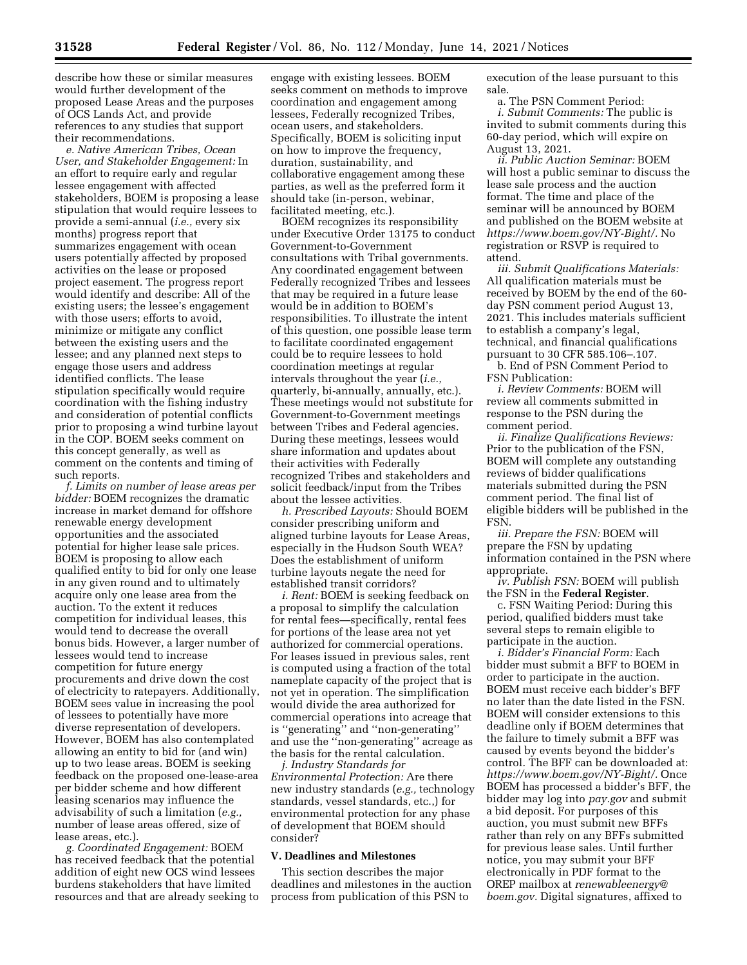describe how these or similar measures would further development of the proposed Lease Areas and the purposes of OCS Lands Act, and provide references to any studies that support their recommendations.

*e. Native American Tribes, Ocean User, and Stakeholder Engagement:* In an effort to require early and regular lessee engagement with affected stakeholders, BOEM is proposing a lease stipulation that would require lessees to provide a semi-annual (*i.e.,* every six months) progress report that summarizes engagement with ocean users potentially affected by proposed activities on the lease or proposed project easement. The progress report would identify and describe: All of the existing users; the lessee's engagement with those users; efforts to avoid, minimize or mitigate any conflict between the existing users and the lessee; and any planned next steps to engage those users and address identified conflicts. The lease stipulation specifically would require coordination with the fishing industry and consideration of potential conflicts prior to proposing a wind turbine layout in the COP. BOEM seeks comment on this concept generally, as well as comment on the contents and timing of such reports.

*f. Limits on number of lease areas per bidder:* BOEM recognizes the dramatic increase in market demand for offshore renewable energy development opportunities and the associated potential for higher lease sale prices. BOEM is proposing to allow each qualified entity to bid for only one lease in any given round and to ultimately acquire only one lease area from the auction. To the extent it reduces competition for individual leases, this would tend to decrease the overall bonus bids. However, a larger number of lessees would tend to increase competition for future energy procurements and drive down the cost of electricity to ratepayers. Additionally, BOEM sees value in increasing the pool of lessees to potentially have more diverse representation of developers. However, BOEM has also contemplated allowing an entity to bid for (and win) up to two lease areas. BOEM is seeking feedback on the proposed one-lease-area per bidder scheme and how different leasing scenarios may influence the advisability of such a limitation (*e.g.,*  number of lease areas offered, size of lease areas, etc.).

*g. Coordinated Engagement:* BOEM has received feedback that the potential addition of eight new OCS wind lessees burdens stakeholders that have limited resources and that are already seeking to

engage with existing lessees. BOEM seeks comment on methods to improve coordination and engagement among lessees, Federally recognized Tribes, ocean users, and stakeholders. Specifically, BOEM is soliciting input on how to improve the frequency, duration, sustainability, and collaborative engagement among these parties, as well as the preferred form it should take (in-person, webinar, facilitated meeting, etc.).

BOEM recognizes its responsibility under Executive Order 13175 to conduct Government-to-Government consultations with Tribal governments. Any coordinated engagement between Federally recognized Tribes and lessees that may be required in a future lease would be in addition to BOEM's responsibilities. To illustrate the intent of this question, one possible lease term to facilitate coordinated engagement could be to require lessees to hold coordination meetings at regular intervals throughout the year (*i.e.,*  quarterly, bi-annually, annually, etc.). These meetings would not substitute for Government-to-Government meetings between Tribes and Federal agencies. During these meetings, lessees would share information and updates about their activities with Federally recognized Tribes and stakeholders and solicit feedback/input from the Tribes about the lessee activities.

*h. Prescribed Layouts:* Should BOEM consider prescribing uniform and aligned turbine layouts for Lease Areas, especially in the Hudson South WEA? Does the establishment of uniform turbine layouts negate the need for established transit corridors?

*i. Rent:* BOEM is seeking feedback on a proposal to simplify the calculation for rental fees—specifically, rental fees for portions of the lease area not yet authorized for commercial operations. For leases issued in previous sales, rent is computed using a fraction of the total nameplate capacity of the project that is not yet in operation. The simplification would divide the area authorized for commercial operations into acreage that is ''generating'' and ''non-generating'' and use the ''non-generating'' acreage as the basis for the rental calculation.

*j. Industry Standards for Environmental Protection:* Are there new industry standards (*e.g.,* technology standards, vessel standards, etc.,) for environmental protection for any phase of development that BOEM should consider?

## **V. Deadlines and Milestones**

This section describes the major deadlines and milestones in the auction process from publication of this PSN to

execution of the lease pursuant to this sale.

a. The PSN Comment Period: *i. Submit Comments:* The public is invited to submit comments during this 60-day period, which will expire on August 13, 2021.

*ii. Public Auction Seminar:* BOEM will host a public seminar to discuss the lease sale process and the auction format. The time and place of the seminar will be announced by BOEM and published on the BOEM website at *[https://www.boem.gov/NY-Bight/.](https://www.boem.gov/NY-Bight/)* No registration or RSVP is required to attend.

*iii. Submit Qualifications Materials:*  All qualification materials must be received by BOEM by the end of the 60 day PSN comment period August 13, 2021. This includes materials sufficient to establish a company's legal, technical, and financial qualifications pursuant to 30 CFR 585.106–.107.

b. End of PSN Comment Period to FSN Publication:

*i. Review Comments:* BOEM will review all comments submitted in response to the PSN during the comment period.

*ii. Finalize Qualifications Reviews:*  Prior to the publication of the FSN, BOEM will complete any outstanding reviews of bidder qualifications materials submitted during the PSN comment period. The final list of eligible bidders will be published in the FSN.

*iii. Prepare the FSN:* BOEM will prepare the FSN by updating information contained in the PSN where appropriate.

*iv. Publish FSN:* BOEM will publish the FSN in the **Federal Register**.

c. FSN Waiting Period: During this period, qualified bidders must take several steps to remain eligible to participate in the auction.

*i. Bidder's Financial Form:* Each bidder must submit a BFF to BOEM in order to participate in the auction. BOEM must receive each bidder's BFF no later than the date listed in the FSN. BOEM will consider extensions to this deadline only if BOEM determines that the failure to timely submit a BFF was caused by events beyond the bidder's control. The BFF can be downloaded at: *[https://www.boem.gov/NY-Bight/.](https://www.boem.gov/NY-Bight/)* Once BOEM has processed a bidder's BFF, the bidder may log into *pay.gov* and submit a bid deposit. For purposes of this auction, you must submit new BFFs rather than rely on any BFFs submitted for previous lease sales. Until further notice, you may submit your BFF electronically in PDF format to the OREP mailbox at *[renewableenergy@](mailto:renewableenergy@boem.gov) [boem.gov.](mailto:renewableenergy@boem.gov)* Digital signatures, affixed to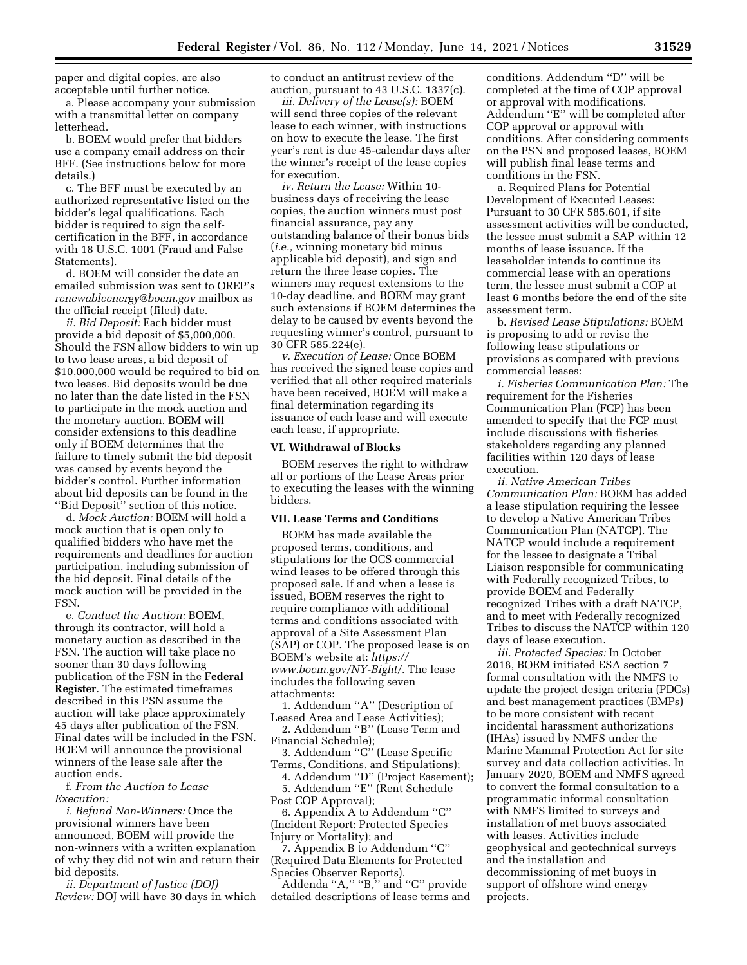paper and digital copies, are also acceptable until further notice.

a. Please accompany your submission with a transmittal letter on company letterhead.

b. BOEM would prefer that bidders use a company email address on their BFF. (See instructions below for more details.)

c. The BFF must be executed by an authorized representative listed on the bidder's legal qualifications. Each bidder is required to sign the selfcertification in the BFF, in accordance with 18 U.S.C. 1001 (Fraud and False Statements).

d. BOEM will consider the date an emailed submission was sent to OREP's *[renewableenergy@boem.gov](mailto:renewableenergy@boem.gov)* mailbox as the official receipt (filed) date.

*ii. Bid Deposit:* Each bidder must provide a bid deposit of \$5,000,000. Should the FSN allow bidders to win up to two lease areas, a bid deposit of \$10,000,000 would be required to bid on two leases. Bid deposits would be due no later than the date listed in the FSN to participate in the mock auction and the monetary auction. BOEM will consider extensions to this deadline only if BOEM determines that the failure to timely submit the bid deposit was caused by events beyond the bidder's control. Further information about bid deposits can be found in the ''Bid Deposit'' section of this notice.

d. *Mock Auction:* BOEM will hold a mock auction that is open only to qualified bidders who have met the requirements and deadlines for auction participation, including submission of the bid deposit. Final details of the mock auction will be provided in the FSN.

e. *Conduct the Auction:* BOEM, through its contractor, will hold a monetary auction as described in the FSN. The auction will take place no sooner than 30 days following publication of the FSN in the **Federal Register**. The estimated timeframes described in this PSN assume the auction will take place approximately 45 days after publication of the FSN. Final dates will be included in the FSN. BOEM will announce the provisional winners of the lease sale after the auction ends.

f. *From the Auction to Lease Execution:* 

*i. Refund Non-Winners:* Once the provisional winners have been announced, BOEM will provide the non-winners with a written explanation of why they did not win and return their bid deposits.

*ii. Department of Justice (DOJ) Review:* DOJ will have 30 days in which to conduct an antitrust review of the auction, pursuant to 43 U.S.C. 1337(c).

*iii. Delivery of the Lease(s):* BOEM will send three copies of the relevant lease to each winner, with instructions on how to execute the lease. The first year's rent is due 45-calendar days after the winner's receipt of the lease copies for execution.

*iv. Return the Lease:* Within 10 business days of receiving the lease copies, the auction winners must post financial assurance, pay any outstanding balance of their bonus bids (*i.e.,* winning monetary bid minus applicable bid deposit), and sign and return the three lease copies. The winners may request extensions to the 10-day deadline, and BOEM may grant such extensions if BOEM determines the delay to be caused by events beyond the requesting winner's control, pursuant to 30 CFR 585.224(e).

*v. Execution of Lease:* Once BOEM has received the signed lease copies and verified that all other required materials have been received, BOEM will make a final determination regarding its issuance of each lease and will execute each lease, if appropriate.

## **VI. Withdrawal of Blocks**

BOEM reserves the right to withdraw all or portions of the Lease Areas prior to executing the leases with the winning bidders.

## **VII. Lease Terms and Conditions**

BOEM has made available the proposed terms, conditions, and stipulations for the OCS commercial wind leases to be offered through this proposed sale. If and when a lease is issued, BOEM reserves the right to require compliance with additional terms and conditions associated with approval of a Site Assessment Plan (SAP) or COP. The proposed lease is on BOEM's website at: *[https://](https://www.boem.gov/NY-Bight/) [www.boem.gov/NY-Bight/.](https://www.boem.gov/NY-Bight/)* The lease includes the following seven attachments:

1. Addendum ''A'' (Description of Leased Area and Lease Activities);

2. Addendum ''B'' (Lease Term and Financial Schedule);

3. Addendum ''C'' (Lease Specific Terms, Conditions, and Stipulations);

4. Addendum ''D'' (Project Easement); 5. Addendum ''E'' (Rent Schedule Post COP Approval);

6. Appendix A to Addendum ''C'' (Incident Report: Protected Species Injury or Mortality); and

7. Appendix B to Addendum ''C'' (Required Data Elements for Protected Species Observer Reports).

Addenda "A," "B," and "C" provide detailed descriptions of lease terms and conditions. Addendum ''D'' will be completed at the time of COP approval or approval with modifications. Addendum ''E'' will be completed after COP approval or approval with conditions. After considering comments on the PSN and proposed leases, BOEM will publish final lease terms and conditions in the FSN.

a. Required Plans for Potential Development of Executed Leases: Pursuant to 30 CFR 585.601, if site assessment activities will be conducted, the lessee must submit a SAP within 12 months of lease issuance. If the leaseholder intends to continue its commercial lease with an operations term, the lessee must submit a COP at least 6 months before the end of the site assessment term.

b. *Revised Lease Stipulations:* BOEM is proposing to add or revise the following lease stipulations or provisions as compared with previous commercial leases:

*i. Fisheries Communication Plan:* The requirement for the Fisheries Communication Plan (FCP) has been amended to specify that the FCP must include discussions with fisheries stakeholders regarding any planned facilities within 120 days of lease execution.

*ii. Native American Tribes Communication Plan:* BOEM has added a lease stipulation requiring the lessee to develop a Native American Tribes Communication Plan (NATCP). The NATCP would include a requirement for the lessee to designate a Tribal Liaison responsible for communicating with Federally recognized Tribes, to provide BOEM and Federally recognized Tribes with a draft NATCP, and to meet with Federally recognized Tribes to discuss the NATCP within 120 days of lease execution.

*iii. Protected Species:* In October 2018, BOEM initiated ESA section 7 formal consultation with the NMFS to update the project design criteria (PDCs) and best management practices (BMPs) to be more consistent with recent incidental harassment authorizations (IHAs) issued by NMFS under the Marine Mammal Protection Act for site survey and data collection activities. In January 2020, BOEM and NMFS agreed to convert the formal consultation to a programmatic informal consultation with NMFS limited to surveys and installation of met buoys associated with leases. Activities include geophysical and geotechnical surveys and the installation and decommissioning of met buoys in support of offshore wind energy projects.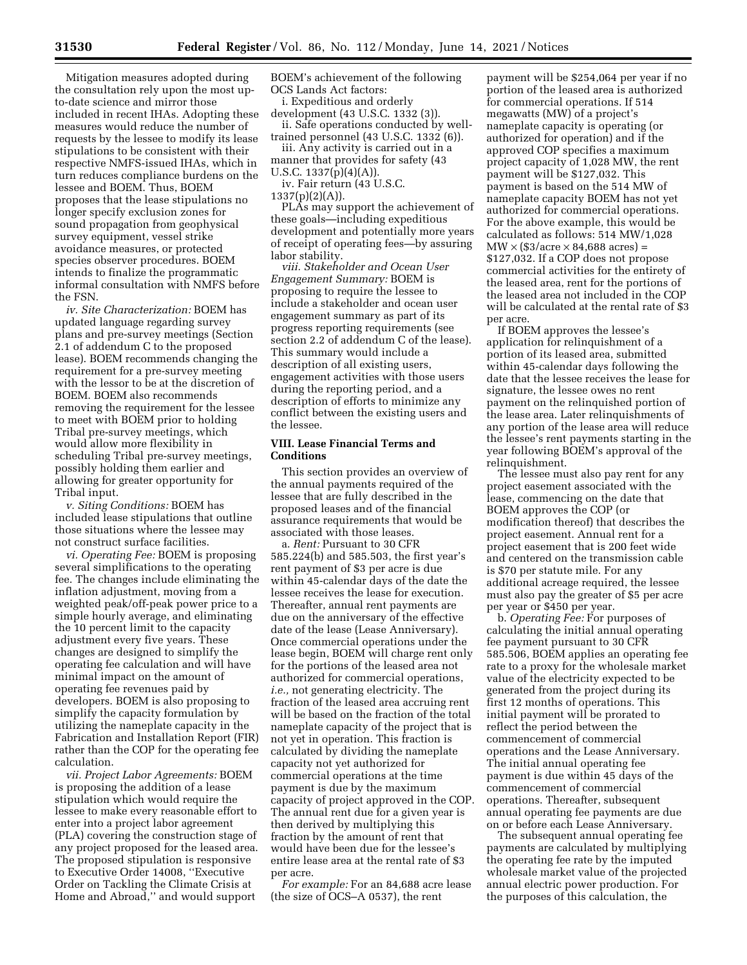Mitigation measures adopted during the consultation rely upon the most upto-date science and mirror those included in recent IHAs. Adopting these measures would reduce the number of requests by the lessee to modify its lease stipulations to be consistent with their respective NMFS-issued IHAs, which in turn reduces compliance burdens on the lessee and BOEM. Thus, BOEM proposes that the lease stipulations no longer specify exclusion zones for sound propagation from geophysical survey equipment, vessel strike avoidance measures, or protected species observer procedures. BOEM intends to finalize the programmatic informal consultation with NMFS before the FSN.

*iv. Site Characterization:* BOEM has updated language regarding survey plans and pre-survey meetings (Section 2.1 of addendum C to the proposed lease). BOEM recommends changing the requirement for a pre-survey meeting with the lessor to be at the discretion of BOEM. BOEM also recommends removing the requirement for the lessee to meet with BOEM prior to holding Tribal pre-survey meetings, which would allow more flexibility in scheduling Tribal pre-survey meetings, possibly holding them earlier and allowing for greater opportunity for Tribal input.

*v. Siting Conditions:* BOEM has included lease stipulations that outline those situations where the lessee may not construct surface facilities.

*vi. Operating Fee:* BOEM is proposing several simplifications to the operating fee. The changes include eliminating the inflation adjustment, moving from a weighted peak/off-peak power price to a simple hourly average, and eliminating the 10 percent limit to the capacity adjustment every five years. These changes are designed to simplify the operating fee calculation and will have minimal impact on the amount of operating fee revenues paid by developers. BOEM is also proposing to simplify the capacity formulation by utilizing the nameplate capacity in the Fabrication and Installation Report (FIR) rather than the COP for the operating fee calculation.

*vii. Project Labor Agreements:* BOEM is proposing the addition of a lease stipulation which would require the lessee to make every reasonable effort to enter into a project labor agreement (PLA) covering the construction stage of any project proposed for the leased area. The proposed stipulation is responsive to Executive Order 14008, ''Executive Order on Tackling the Climate Crisis at Home and Abroad,'' and would support

BOEM's achievement of the following OCS Lands Act factors:

i. Expeditious and orderly

development (43 U.S.C. 1332 (3)). ii. Safe operations conducted by welltrained personnel (43 U.S.C. 1332 (6)).

iii. Any activity is carried out in a

manner that provides for safety (43

U.S.C. 1337(p)(4)(A)).

iv. Fair return (43 U.S.C.  $1337(p)(2)(A)$ ).

PLAs may support the achievement of these goals—including expeditious development and potentially more years of receipt of operating fees—by assuring labor stability.

*viii. Stakeholder and Ocean User Engagement Summary:* BOEM is proposing to require the lessee to include a stakeholder and ocean user engagement summary as part of its progress reporting requirements (see section 2.2 of addendum C of the lease). This summary would include a description of all existing users, engagement activities with those users during the reporting period, and a description of efforts to minimize any conflict between the existing users and the lessee.

### **VIII. Lease Financial Terms and Conditions**

This section provides an overview of the annual payments required of the lessee that are fully described in the proposed leases and of the financial assurance requirements that would be associated with those leases.

a. *Rent:* Pursuant to 30 CFR 585.224(b) and 585.503, the first year's rent payment of \$3 per acre is due within 45-calendar days of the date the lessee receives the lease for execution. Thereafter, annual rent payments are due on the anniversary of the effective date of the lease (Lease Anniversary). Once commercial operations under the lease begin, BOEM will charge rent only for the portions of the leased area not authorized for commercial operations, *i.e.,* not generating electricity. The fraction of the leased area accruing rent will be based on the fraction of the total nameplate capacity of the project that is not yet in operation. This fraction is calculated by dividing the nameplate capacity not yet authorized for commercial operations at the time payment is due by the maximum capacity of project approved in the COP. The annual rent due for a given year is then derived by multiplying this fraction by the amount of rent that would have been due for the lessee's entire lease area at the rental rate of \$3 per acre.

*For example:* For an 84,688 acre lease (the size of OCS–A 0537), the rent

payment will be \$254,064 per year if no portion of the leased area is authorized for commercial operations. If 514 megawatts (MW) of a project's nameplate capacity is operating (or authorized for operation) and if the approved COP specifies a maximum project capacity of 1,028 MW, the rent payment will be \$127,032. This payment is based on the 514 MW of nameplate capacity BOEM has not yet authorized for commercial operations. For the above example, this would be calculated as follows: 514 MW/1,028  $MW \times (\$3/acre \times 84,688 \text{ acres}) =$ \$127,032. If a COP does not propose commercial activities for the entirety of the leased area, rent for the portions of the leased area not included in the COP will be calculated at the rental rate of \$3 per acre.

If BOEM approves the lessee's application for relinquishment of a portion of its leased area, submitted within 45-calendar days following the date that the lessee receives the lease for signature, the lessee owes no rent payment on the relinquished portion of the lease area. Later relinquishments of any portion of the lease area will reduce the lessee's rent payments starting in the year following BOEM's approval of the relinquishment.

The lessee must also pay rent for any project easement associated with the lease, commencing on the date that BOEM approves the COP (or modification thereof) that describes the project easement. Annual rent for a project easement that is 200 feet wide and centered on the transmission cable is \$70 per statute mile. For any additional acreage required, the lessee must also pay the greater of \$5 per acre per year or \$450 per year.

b. *Operating Fee:* For purposes of calculating the initial annual operating fee payment pursuant to 30 CFR 585.506, BOEM applies an operating fee rate to a proxy for the wholesale market value of the electricity expected to be generated from the project during its first 12 months of operations. This initial payment will be prorated to reflect the period between the commencement of commercial operations and the Lease Anniversary. The initial annual operating fee payment is due within 45 days of the commencement of commercial operations. Thereafter, subsequent annual operating fee payments are due on or before each Lease Anniversary.

The subsequent annual operating fee payments are calculated by multiplying the operating fee rate by the imputed wholesale market value of the projected annual electric power production. For the purposes of this calculation, the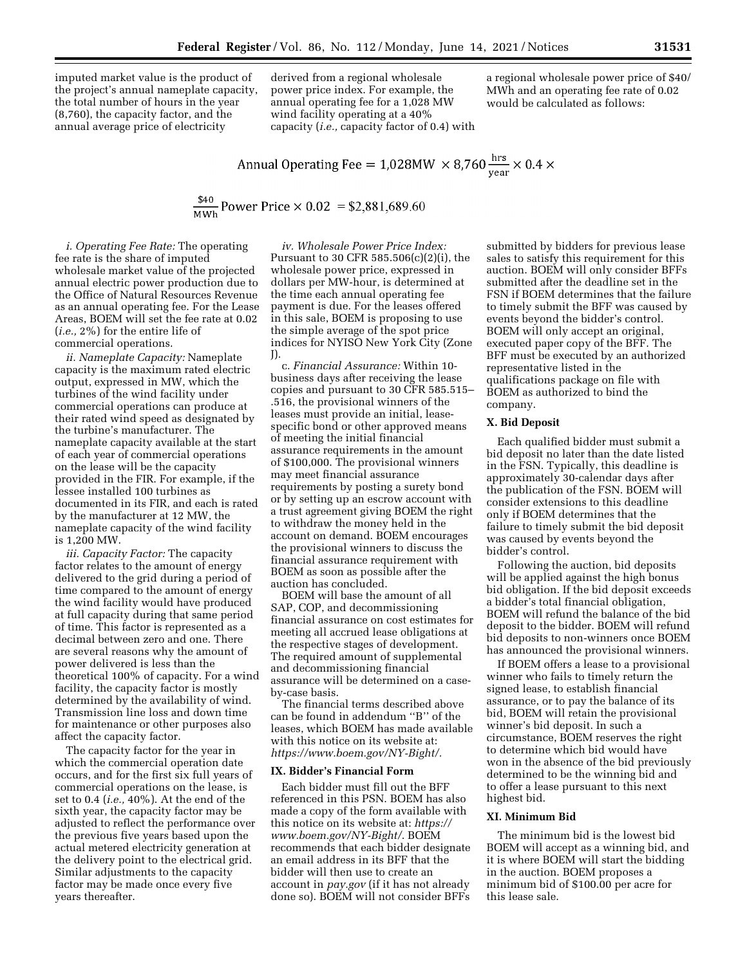imputed market value is the product of the project's annual nameplate capacity, the total number of hours in the year (8,760), the capacity factor, and the annual average price of electricity

derived from a regional wholesale power price index. For example, the annual operating fee for a 1,028 MW wind facility operating at a 40% capacity (*i.e.,* capacity factor of 0.4) with a regional wholesale power price of \$40/ MWh and an operating fee rate of 0.02 would be calculated as follows:

Annual Operating Free = 
$$
1,028MW \times 8,760 \frac{\text{hrs}}{\text{year}} \times 0.4 \times
$$

 $\frac{$40}{MWh}$  Power Price  $\times$  0.02 = \$2,881,689.60

*i. Operating Fee Rate:* The operating fee rate is the share of imputed wholesale market value of the projected annual electric power production due to the Office of Natural Resources Revenue as an annual operating fee. For the Lease Areas, BOEM will set the fee rate at 0.02 (*i.e.,* 2%) for the entire life of commercial operations.

*ii. Nameplate Capacity:* Nameplate capacity is the maximum rated electric output, expressed in MW, which the turbines of the wind facility under commercial operations can produce at their rated wind speed as designated by the turbine's manufacturer. The nameplate capacity available at the start of each year of commercial operations on the lease will be the capacity provided in the FIR. For example, if the lessee installed 100 turbines as documented in its FIR, and each is rated by the manufacturer at 12 MW, the nameplate capacity of the wind facility is 1,200 MW.

*iii. Capacity Factor:* The capacity factor relates to the amount of energy delivered to the grid during a period of time compared to the amount of energy the wind facility would have produced at full capacity during that same period of time. This factor is represented as a decimal between zero and one. There are several reasons why the amount of power delivered is less than the theoretical 100% of capacity. For a wind facility, the capacity factor is mostly determined by the availability of wind. Transmission line loss and down time for maintenance or other purposes also affect the capacity factor.

The capacity factor for the year in which the commercial operation date occurs, and for the first six full years of commercial operations on the lease, is set to 0.4 (*i.e.,* 40%). At the end of the sixth year, the capacity factor may be adjusted to reflect the performance over the previous five years based upon the actual metered electricity generation at the delivery point to the electrical grid. Similar adjustments to the capacity factor may be made once every five years thereafter.

*iv. Wholesale Power Price Index:*  Pursuant to 30 CFR 585.506(c)(2)(i), the wholesale power price, expressed in dollars per MW-hour, is determined at the time each annual operating fee payment is due. For the leases offered in this sale, BOEM is proposing to use the simple average of the spot price indices for NYISO New York City (Zone J).

c. *Financial Assurance:* Within 10 business days after receiving the lease copies and pursuant to 30 CFR 585.515– .516, the provisional winners of the leases must provide an initial, leasespecific bond or other approved means of meeting the initial financial assurance requirements in the amount of \$100,000. The provisional winners may meet financial assurance requirements by posting a surety bond or by setting up an escrow account with a trust agreement giving BOEM the right to withdraw the money held in the account on demand. BOEM encourages the provisional winners to discuss the financial assurance requirement with BOEM as soon as possible after the auction has concluded.

BOEM will base the amount of all SAP, COP, and decommissioning financial assurance on cost estimates for meeting all accrued lease obligations at the respective stages of development. The required amount of supplemental and decommissioning financial assurance will be determined on a caseby-case basis.

The financial terms described above can be found in addendum ''B'' of the leases, which BOEM has made available with this notice on its website at: *[https://www.boem.gov/NY-Bight/.](https://www.boem.gov/NY-Bight/)* 

### **IX. Bidder's Financial Form**

Each bidder must fill out the BFF referenced in this PSN. BOEM has also made a copy of the form available with this notice on its website at: *[https://](https://www.boem.gov/NY-Bight/) [www.boem.gov/NY-Bight/](https://www.boem.gov/NY-Bight/)*. BOEM recommends that each bidder designate an email address in its BFF that the bidder will then use to create an account in *pay.gov* (if it has not already done so). BOEM will not consider BFFs

submitted by bidders for previous lease sales to satisfy this requirement for this auction. BOEM will only consider BFFs submitted after the deadline set in the FSN if BOEM determines that the failure to timely submit the BFF was caused by events beyond the bidder's control. BOEM will only accept an original, executed paper copy of the BFF. The BFF must be executed by an authorized representative listed in the qualifications package on file with BOEM as authorized to bind the company.

#### **X. Bid Deposit**

Each qualified bidder must submit a bid deposit no later than the date listed in the FSN. Typically, this deadline is approximately 30-calendar days after the publication of the FSN. BOEM will consider extensions to this deadline only if BOEM determines that the failure to timely submit the bid deposit was caused by events beyond the bidder's control.

Following the auction, bid deposits will be applied against the high bonus bid obligation. If the bid deposit exceeds a bidder's total financial obligation, BOEM will refund the balance of the bid deposit to the bidder. BOEM will refund bid deposits to non-winners once BOEM has announced the provisional winners.

If BOEM offers a lease to a provisional winner who fails to timely return the signed lease, to establish financial assurance, or to pay the balance of its bid, BOEM will retain the provisional winner's bid deposit. In such a circumstance, BOEM reserves the right to determine which bid would have won in the absence of the bid previously determined to be the winning bid and to offer a lease pursuant to this next highest bid.

## **XI. Minimum Bid**

The minimum bid is the lowest bid BOEM will accept as a winning bid, and it is where BOEM will start the bidding in the auction. BOEM proposes a minimum bid of \$100.00 per acre for this lease sale.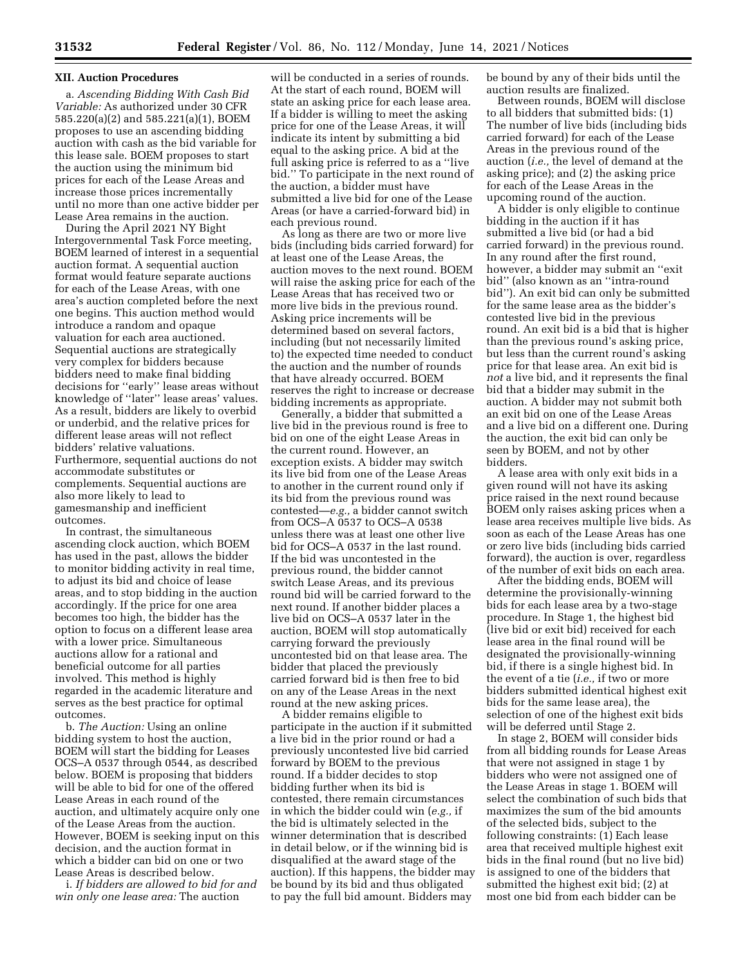## **XII. Auction Procedures**

a. *Ascending Bidding With Cash Bid Variable:* As authorized under 30 CFR 585.220(a)(2) and 585.221(a)(1), BOEM proposes to use an ascending bidding auction with cash as the bid variable for this lease sale. BOEM proposes to start the auction using the minimum bid prices for each of the Lease Areas and increase those prices incrementally until no more than one active bidder per Lease Area remains in the auction.

During the April 2021 NY Bight Intergovernmental Task Force meeting, BOEM learned of interest in a sequential auction format. A sequential auction format would feature separate auctions for each of the Lease Areas, with one area's auction completed before the next one begins. This auction method would introduce a random and opaque valuation for each area auctioned. Sequential auctions are strategically very complex for bidders because bidders need to make final bidding decisions for ''early'' lease areas without knowledge of ''later'' lease areas' values. As a result, bidders are likely to overbid or underbid, and the relative prices for different lease areas will not reflect bidders' relative valuations. Furthermore, sequential auctions do not accommodate substitutes or complements. Sequential auctions are also more likely to lead to gamesmanship and inefficient outcomes.

In contrast, the simultaneous ascending clock auction, which BOEM has used in the past, allows the bidder to monitor bidding activity in real time, to adjust its bid and choice of lease areas, and to stop bidding in the auction accordingly. If the price for one area becomes too high, the bidder has the option to focus on a different lease area with a lower price. Simultaneous auctions allow for a rational and beneficial outcome for all parties involved. This method is highly regarded in the academic literature and serves as the best practice for optimal outcomes.

b. *The Auction:* Using an online bidding system to host the auction, BOEM will start the bidding for Leases OCS–A 0537 through 0544, as described below. BOEM is proposing that bidders will be able to bid for one of the offered Lease Areas in each round of the auction, and ultimately acquire only one of the Lease Areas from the auction. However, BOEM is seeking input on this decision, and the auction format in which a bidder can bid on one or two Lease Areas is described below.

i. *If bidders are allowed to bid for and win only one lease area:* The auction

will be conducted in a series of rounds. At the start of each round, BOEM will state an asking price for each lease area. If a bidder is willing to meet the asking price for one of the Lease Areas, it will indicate its intent by submitting a bid equal to the asking price. A bid at the full asking price is referred to as a ''live bid.'' To participate in the next round of the auction, a bidder must have submitted a live bid for one of the Lease Areas (or have a carried-forward bid) in each previous round.

As long as there are two or more live bids (including bids carried forward) for at least one of the Lease Areas, the auction moves to the next round. BOEM will raise the asking price for each of the Lease Areas that has received two or more live bids in the previous round. Asking price increments will be determined based on several factors, including (but not necessarily limited to) the expected time needed to conduct the auction and the number of rounds that have already occurred. BOEM reserves the right to increase or decrease bidding increments as appropriate.

Generally, a bidder that submitted a live bid in the previous round is free to bid on one of the eight Lease Areas in the current round. However, an exception exists. A bidder may switch its live bid from one of the Lease Areas to another in the current round only if its bid from the previous round was contested—*e.g.,* a bidder cannot switch from OCS–A 0537 to OCS–A 0538 unless there was at least one other live bid for OCS–A 0537 in the last round. If the bid was uncontested in the previous round, the bidder cannot switch Lease Areas, and its previous round bid will be carried forward to the next round. If another bidder places a live bid on OCS–A 0537 later in the auction, BOEM will stop automatically carrying forward the previously uncontested bid on that lease area. The bidder that placed the previously carried forward bid is then free to bid on any of the Lease Areas in the next round at the new asking prices.

A bidder remains eligible to participate in the auction if it submitted a live bid in the prior round or had a previously uncontested live bid carried forward by BOEM to the previous round. If a bidder decides to stop bidding further when its bid is contested, there remain circumstances in which the bidder could win (*e.g.,* if the bid is ultimately selected in the winner determination that is described in detail below, or if the winning bid is disqualified at the award stage of the auction). If this happens, the bidder may be bound by its bid and thus obligated to pay the full bid amount. Bidders may

be bound by any of their bids until the auction results are finalized.

Between rounds, BOEM will disclose to all bidders that submitted bids: (1) The number of live bids (including bids carried forward) for each of the Lease Areas in the previous round of the auction (*i.e.,* the level of demand at the asking price); and (2) the asking price for each of the Lease Areas in the upcoming round of the auction.

A bidder is only eligible to continue bidding in the auction if it has submitted a live bid (or had a bid carried forward) in the previous round. In any round after the first round, however, a bidder may submit an ''exit bid'' (also known as an ''intra-round bid''). An exit bid can only be submitted for the same lease area as the bidder's contested live bid in the previous round. An exit bid is a bid that is higher than the previous round's asking price, but less than the current round's asking price for that lease area. An exit bid is *not* a live bid, and it represents the final bid that a bidder may submit in the auction. A bidder may not submit both an exit bid on one of the Lease Areas and a live bid on a different one. During the auction, the exit bid can only be seen by BOEM, and not by other bidders.

A lease area with only exit bids in a given round will not have its asking price raised in the next round because BOEM only raises asking prices when a lease area receives multiple live bids. As soon as each of the Lease Areas has one or zero live bids (including bids carried forward), the auction is over, regardless of the number of exit bids on each area.

After the bidding ends, BOEM will determine the provisionally-winning bids for each lease area by a two-stage procedure. In Stage 1, the highest bid (live bid or exit bid) received for each lease area in the final round will be designated the provisionally-winning bid, if there is a single highest bid. In the event of a tie (*i.e.,* if two or more bidders submitted identical highest exit bids for the same lease area), the selection of one of the highest exit bids will be deferred until Stage 2.

In stage 2, BOEM will consider bids from all bidding rounds for Lease Areas that were not assigned in stage 1 by bidders who were not assigned one of the Lease Areas in stage 1. BOEM will select the combination of such bids that maximizes the sum of the bid amounts of the selected bids, subject to the following constraints: (1) Each lease area that received multiple highest exit bids in the final round (but no live bid) is assigned to one of the bidders that submitted the highest exit bid; (2) at most one bid from each bidder can be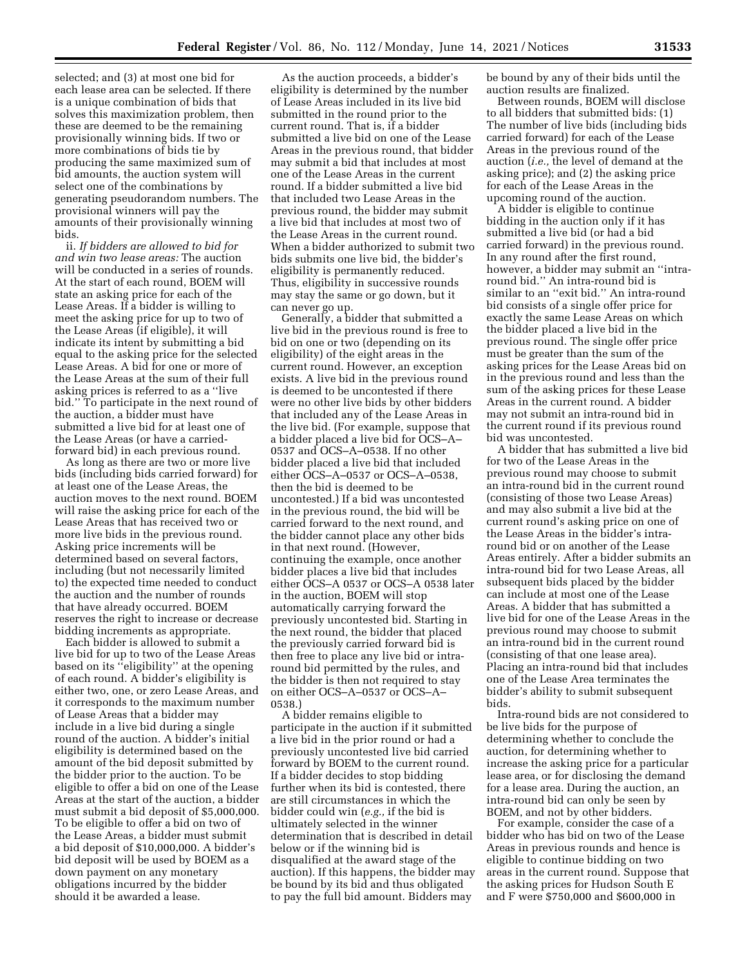selected; and (3) at most one bid for each lease area can be selected. If there is a unique combination of bids that solves this maximization problem, then these are deemed to be the remaining provisionally winning bids. If two or more combinations of bids tie by producing the same maximized sum of bid amounts, the auction system will select one of the combinations by generating pseudorandom numbers. The provisional winners will pay the amounts of their provisionally winning bids.

ii. *If bidders are allowed to bid for and win two lease areas:* The auction will be conducted in a series of rounds. At the start of each round, BOEM will state an asking price for each of the Lease Areas. If a bidder is willing to meet the asking price for up to two of the Lease Areas (if eligible), it will indicate its intent by submitting a bid equal to the asking price for the selected Lease Areas. A bid for one or more of the Lease Areas at the sum of their full asking prices is referred to as a ''live bid.'' To participate in the next round of the auction, a bidder must have submitted a live bid for at least one of the Lease Areas (or have a carriedforward bid) in each previous round.

As long as there are two or more live bids (including bids carried forward) for at least one of the Lease Areas, the auction moves to the next round. BOEM will raise the asking price for each of the Lease Areas that has received two or more live bids in the previous round. Asking price increments will be determined based on several factors, including (but not necessarily limited to) the expected time needed to conduct the auction and the number of rounds that have already occurred. BOEM reserves the right to increase or decrease bidding increments as appropriate.

Each bidder is allowed to submit a live bid for up to two of the Lease Areas based on its ''eligibility'' at the opening of each round. A bidder's eligibility is either two, one, or zero Lease Areas, and it corresponds to the maximum number of Lease Areas that a bidder may include in a live bid during a single round of the auction. A bidder's initial eligibility is determined based on the amount of the bid deposit submitted by the bidder prior to the auction. To be eligible to offer a bid on one of the Lease Areas at the start of the auction, a bidder must submit a bid deposit of \$5,000,000. To be eligible to offer a bid on two of the Lease Areas, a bidder must submit a bid deposit of \$10,000,000. A bidder's bid deposit will be used by BOEM as a down payment on any monetary obligations incurred by the bidder should it be awarded a lease.

As the auction proceeds, a bidder's eligibility is determined by the number of Lease Areas included in its live bid submitted in the round prior to the current round. That is, if a bidder submitted a live bid on one of the Lease Areas in the previous round, that bidder may submit a bid that includes at most one of the Lease Areas in the current round. If a bidder submitted a live bid that included two Lease Areas in the previous round, the bidder may submit a live bid that includes at most two of the Lease Areas in the current round. When a bidder authorized to submit two bids submits one live bid, the bidder's eligibility is permanently reduced. Thus, eligibility in successive rounds may stay the same or go down, but it can never go up.

Generally, a bidder that submitted a live bid in the previous round is free to bid on one or two (depending on its eligibility) of the eight areas in the current round. However, an exception exists. A live bid in the previous round is deemed to be uncontested if there were no other live bids by other bidders that included any of the Lease Areas in the live bid. (For example, suppose that a bidder placed a live bid for OCS–A– 0537 and OCS–A–0538. If no other bidder placed a live bid that included either OCS–A–0537 or OCS–A–0538, then the bid is deemed to be uncontested.) If a bid was uncontested in the previous round, the bid will be carried forward to the next round, and the bidder cannot place any other bids in that next round. (However, continuing the example, once another bidder places a live bid that includes either OCS–A 0537 or OCS–A 0538 later in the auction, BOEM will stop automatically carrying forward the previously uncontested bid. Starting in the next round, the bidder that placed the previously carried forward bid is then free to place any live bid or intraround bid permitted by the rules, and the bidder is then not required to stay on either OCS–A–0537 or OCS–A– 0538.)

A bidder remains eligible to participate in the auction if it submitted a live bid in the prior round or had a previously uncontested live bid carried forward by BOEM to the current round. If a bidder decides to stop bidding further when its bid is contested, there are still circumstances in which the bidder could win (*e.g.,* if the bid is ultimately selected in the winner determination that is described in detail below or if the winning bid is disqualified at the award stage of the auction). If this happens, the bidder may be bound by its bid and thus obligated to pay the full bid amount. Bidders may

be bound by any of their bids until the auction results are finalized.

Between rounds, BOEM will disclose to all bidders that submitted bids: (1) The number of live bids (including bids carried forward) for each of the Lease Areas in the previous round of the auction (*i.e.,* the level of demand at the asking price); and (2) the asking price for each of the Lease Areas in the upcoming round of the auction.

A bidder is eligible to continue bidding in the auction only if it has submitted a live bid (or had a bid carried forward) in the previous round. In any round after the first round, however, a bidder may submit an ''intraround bid.'' An intra-round bid is similar to an ''exit bid.'' An intra-round bid consists of a single offer price for exactly the same Lease Areas on which the bidder placed a live bid in the previous round. The single offer price must be greater than the sum of the asking prices for the Lease Areas bid on in the previous round and less than the sum of the asking prices for these Lease Areas in the current round. A bidder may not submit an intra-round bid in the current round if its previous round bid was uncontested.

A bidder that has submitted a live bid for two of the Lease Areas in the previous round may choose to submit an intra-round bid in the current round (consisting of those two Lease Areas) and may also submit a live bid at the current round's asking price on one of the Lease Areas in the bidder's intraround bid or on another of the Lease Areas entirely. After a bidder submits an intra-round bid for two Lease Areas, all subsequent bids placed by the bidder can include at most one of the Lease Areas. A bidder that has submitted a live bid for one of the Lease Areas in the previous round may choose to submit an intra-round bid in the current round (consisting of that one lease area). Placing an intra-round bid that includes one of the Lease Area terminates the bidder's ability to submit subsequent bids.

Intra-round bids are not considered to be live bids for the purpose of determining whether to conclude the auction, for determining whether to increase the asking price for a particular lease area, or for disclosing the demand for a lease area. During the auction, an intra-round bid can only be seen by BOEM, and not by other bidders.

For example, consider the case of a bidder who has bid on two of the Lease Areas in previous rounds and hence is eligible to continue bidding on two areas in the current round. Suppose that the asking prices for Hudson South E and F were \$750,000 and \$600,000 in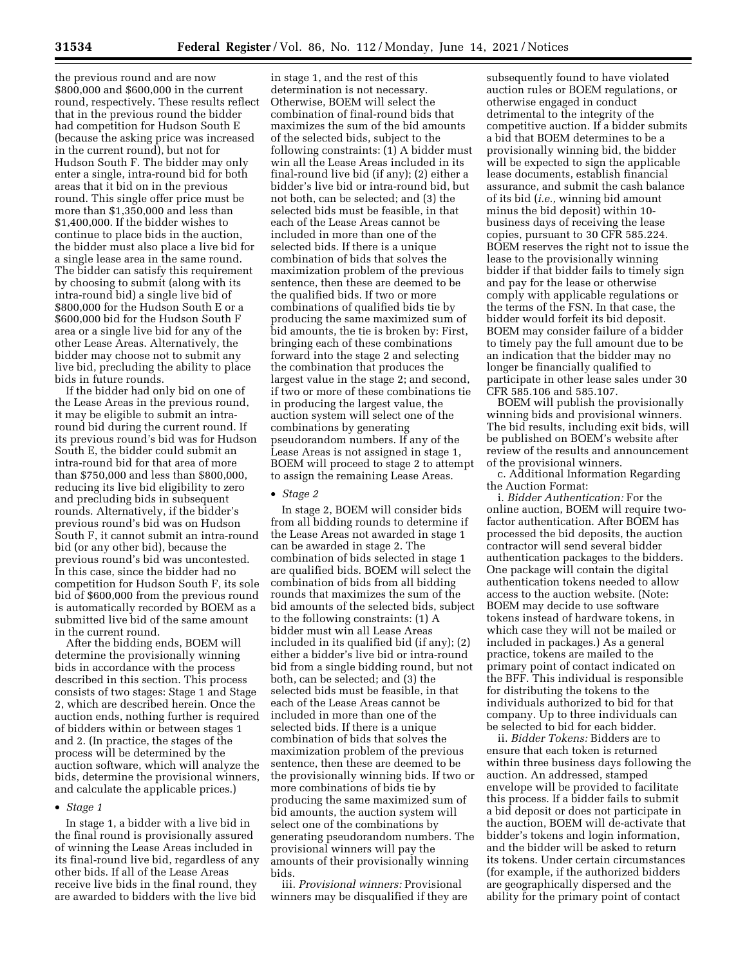the previous round and are now \$800,000 and \$600,000 in the current round, respectively. These results reflect that in the previous round the bidder had competition for Hudson South E (because the asking price was increased in the current round), but not for Hudson South F. The bidder may only enter a single, intra-round bid for both areas that it bid on in the previous round. This single offer price must be more than \$1,350,000 and less than \$1,400,000. If the bidder wishes to continue to place bids in the auction, the bidder must also place a live bid for a single lease area in the same round. The bidder can satisfy this requirement by choosing to submit (along with its intra-round bid) a single live bid of \$800,000 for the Hudson South E or a \$600,000 bid for the Hudson South F area or a single live bid for any of the other Lease Areas. Alternatively, the bidder may choose not to submit any live bid, precluding the ability to place bids in future rounds.

If the bidder had only bid on one of the Lease Areas in the previous round, it may be eligible to submit an intraround bid during the current round. If its previous round's bid was for Hudson South E, the bidder could submit an intra-round bid for that area of more than \$750,000 and less than \$800,000, reducing its live bid eligibility to zero and precluding bids in subsequent rounds. Alternatively, if the bidder's previous round's bid was on Hudson South F, it cannot submit an intra-round bid (or any other bid), because the previous round's bid was uncontested. In this case, since the bidder had no competition for Hudson South F, its sole bid of \$600,000 from the previous round is automatically recorded by BOEM as a submitted live bid of the same amount in the current round.

After the bidding ends, BOEM will determine the provisionally winning bids in accordance with the process described in this section. This process consists of two stages: Stage 1 and Stage 2, which are described herein. Once the auction ends, nothing further is required of bidders within or between stages 1 and 2. (In practice, the stages of the process will be determined by the auction software, which will analyze the bids, determine the provisional winners, and calculate the applicable prices.)

#### • *Stage 1*

In stage 1, a bidder with a live bid in the final round is provisionally assured of winning the Lease Areas included in its final-round live bid, regardless of any other bids. If all of the Lease Areas receive live bids in the final round, they are awarded to bidders with the live bid

in stage 1, and the rest of this determination is not necessary. Otherwise, BOEM will select the combination of final-round bids that maximizes the sum of the bid amounts of the selected bids, subject to the following constraints: (1) A bidder must win all the Lease Areas included in its final-round live bid (if any); (2) either a bidder's live bid or intra-round bid, but not both, can be selected; and (3) the selected bids must be feasible, in that each of the Lease Areas cannot be included in more than one of the selected bids. If there is a unique combination of bids that solves the maximization problem of the previous sentence, then these are deemed to be the qualified bids. If two or more combinations of qualified bids tie by producing the same maximized sum of bid amounts, the tie is broken by: First, bringing each of these combinations forward into the stage 2 and selecting the combination that produces the largest value in the stage 2; and second, if two or more of these combinations tie in producing the largest value, the auction system will select one of the combinations by generating pseudorandom numbers. If any of the Lease Areas is not assigned in stage 1, BOEM will proceed to stage 2 to attempt to assign the remaining Lease Areas.

### • *Stage 2*

In stage 2, BOEM will consider bids from all bidding rounds to determine if the Lease Areas not awarded in stage 1 can be awarded in stage 2. The combination of bids selected in stage 1 are qualified bids. BOEM will select the combination of bids from all bidding rounds that maximizes the sum of the bid amounts of the selected bids, subject to the following constraints: (1) A bidder must win all Lease Areas included in its qualified bid (if any); (2) either a bidder's live bid or intra-round bid from a single bidding round, but not both, can be selected; and (3) the selected bids must be feasible, in that each of the Lease Areas cannot be included in more than one of the selected bids. If there is a unique combination of bids that solves the maximization problem of the previous sentence, then these are deemed to be the provisionally winning bids. If two or more combinations of bids tie by producing the same maximized sum of bid amounts, the auction system will select one of the combinations by generating pseudorandom numbers. The provisional winners will pay the amounts of their provisionally winning bids.

iii. *Provisional winners:* Provisional winners may be disqualified if they are

subsequently found to have violated auction rules or BOEM regulations, or otherwise engaged in conduct detrimental to the integrity of the competitive auction. If a bidder submits a bid that BOEM determines to be a provisionally winning bid, the bidder will be expected to sign the applicable lease documents, establish financial assurance, and submit the cash balance of its bid (*i.e.,* winning bid amount minus the bid deposit) within 10 business days of receiving the lease copies, pursuant to 30 CFR 585.224. BOEM reserves the right not to issue the lease to the provisionally winning bidder if that bidder fails to timely sign and pay for the lease or otherwise comply with applicable regulations or the terms of the FSN. In that case, the bidder would forfeit its bid deposit. BOEM may consider failure of a bidder to timely pay the full amount due to be an indication that the bidder may no longer be financially qualified to participate in other lease sales under 30 CFR 585.106 and 585.107.

BOEM will publish the provisionally winning bids and provisional winners. The bid results, including exit bids, will be published on BOEM's website after review of the results and announcement of the provisional winners.

c. Additional Information Regarding the Auction Format:

i. *Bidder Authentication:* For the online auction, BOEM will require twofactor authentication. After BOEM has processed the bid deposits, the auction contractor will send several bidder authentication packages to the bidders. One package will contain the digital authentication tokens needed to allow access to the auction website. (Note: BOEM may decide to use software tokens instead of hardware tokens, in which case they will not be mailed or included in packages.) As a general practice, tokens are mailed to the primary point of contact indicated on the BFF. This individual is responsible for distributing the tokens to the individuals authorized to bid for that company. Up to three individuals can be selected to bid for each bidder.

ii. *Bidder Tokens:* Bidders are to ensure that each token is returned within three business days following the auction. An addressed, stamped envelope will be provided to facilitate this process. If a bidder fails to submit a bid deposit or does not participate in the auction, BOEM will de-activate that bidder's tokens and login information, and the bidder will be asked to return its tokens. Under certain circumstances (for example, if the authorized bidders are geographically dispersed and the ability for the primary point of contact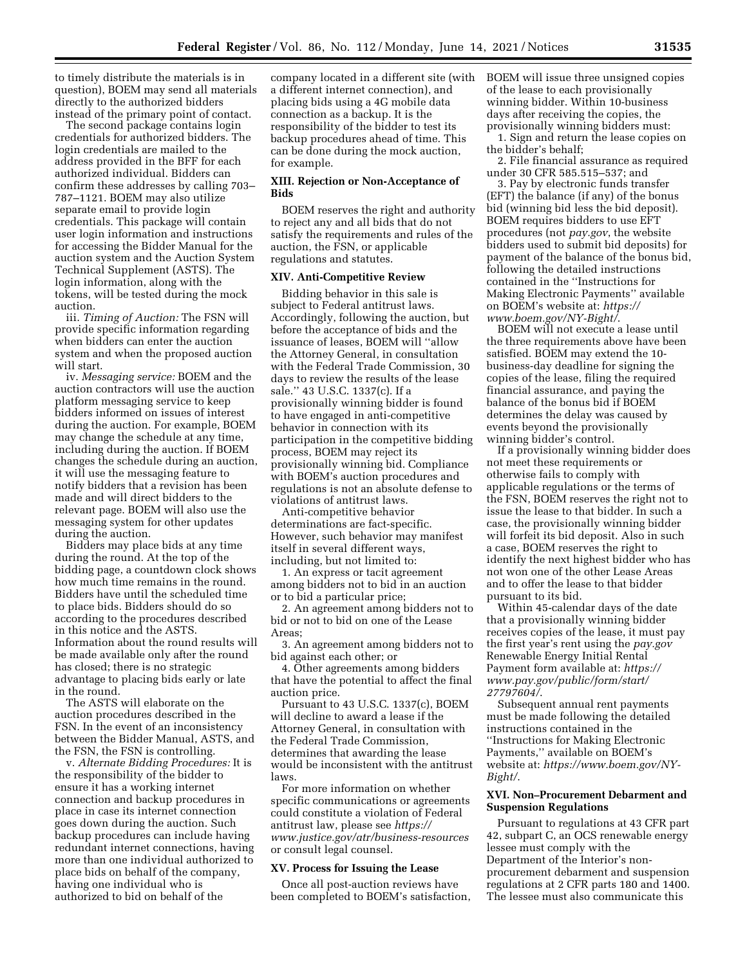to timely distribute the materials is in question), BOEM may send all materials directly to the authorized bidders instead of the primary point of contact.

The second package contains login credentials for authorized bidders. The login credentials are mailed to the address provided in the BFF for each authorized individual. Bidders can confirm these addresses by calling 703– 787–1121. BOEM may also utilize separate email to provide login credentials. This package will contain user login information and instructions for accessing the Bidder Manual for the auction system and the Auction System Technical Supplement (ASTS). The login information, along with the tokens, will be tested during the mock auction.

iii. *Timing of Auction:* The FSN will provide specific information regarding when bidders can enter the auction system and when the proposed auction will start.

iv. *Messaging service:* BOEM and the auction contractors will use the auction platform messaging service to keep bidders informed on issues of interest during the auction. For example, BOEM may change the schedule at any time, including during the auction. If BOEM changes the schedule during an auction, it will use the messaging feature to notify bidders that a revision has been made and will direct bidders to the relevant page. BOEM will also use the messaging system for other updates during the auction.

Bidders may place bids at any time during the round. At the top of the bidding page, a countdown clock shows how much time remains in the round. Bidders have until the scheduled time to place bids. Bidders should do so according to the procedures described in this notice and the ASTS. Information about the round results will be made available only after the round has closed; there is no strategic advantage to placing bids early or late in the round.

The ASTS will elaborate on the auction procedures described in the FSN. In the event of an inconsistency between the Bidder Manual, ASTS, and the FSN, the FSN is controlling.

v. *Alternate Bidding Procedures:* It is the responsibility of the bidder to ensure it has a working internet connection and backup procedures in place in case its internet connection goes down during the auction. Such backup procedures can include having redundant internet connections, having more than one individual authorized to place bids on behalf of the company, having one individual who is authorized to bid on behalf of the

company located in a different site (with a different internet connection), and placing bids using a 4G mobile data connection as a backup. It is the responsibility of the bidder to test its backup procedures ahead of time. This can be done during the mock auction, for example.

### **XIII. Rejection or Non-Acceptance of Bids**

BOEM reserves the right and authority to reject any and all bids that do not satisfy the requirements and rules of the auction, the FSN, or applicable regulations and statutes.

#### **XIV. Anti-Competitive Review**

Bidding behavior in this sale is subject to Federal antitrust laws. Accordingly, following the auction, but before the acceptance of bids and the issuance of leases, BOEM will ''allow the Attorney General, in consultation with the Federal Trade Commission, 30 days to review the results of the lease sale.'' 43 U.S.C. 1337(c). If a provisionally winning bidder is found to have engaged in anti-competitive behavior in connection with its participation in the competitive bidding process, BOEM may reject its provisionally winning bid. Compliance with BOEM's auction procedures and regulations is not an absolute defense to violations of antitrust laws.

Anti-competitive behavior determinations are fact-specific. However, such behavior may manifest itself in several different ways, including, but not limited to:

1. An express or tacit agreement among bidders not to bid in an auction or to bid a particular price;

2. An agreement among bidders not to bid or not to bid on one of the Lease Areas;

3. An agreement among bidders not to bid against each other; or

4. Other agreements among bidders that have the potential to affect the final auction price.

Pursuant to 43 U.S.C. 1337(c), BOEM will decline to award a lease if the Attorney General, in consultation with the Federal Trade Commission, determines that awarding the lease would be inconsistent with the antitrust laws.

For more information on whether specific communications or agreements could constitute a violation of Federal antitrust law, please see *[https://](https://www.justice.gov/atr/business-resources) [www.justice.gov/atr/business-resources](https://www.justice.gov/atr/business-resources)*  or consult legal counsel.

### **XV. Process for Issuing the Lease**

Once all post-auction reviews have been completed to BOEM's satisfaction, BOEM will issue three unsigned copies of the lease to each provisionally winning bidder. Within 10-business days after receiving the copies, the provisionally winning bidders must:

1. Sign and return the lease copies on the bidder's behalf;

2. File financial assurance as required under 30 CFR 585.515–537; and

3. Pay by electronic funds transfer (EFT) the balance (if any) of the bonus bid (winning bid less the bid deposit). BOEM requires bidders to use EFT procedures (not *pay.gov*, the website bidders used to submit bid deposits) for payment of the balance of the bonus bid, following the detailed instructions contained in the ''Instructions for Making Electronic Payments'' available on BOEM's website at: *[https://](https://www.boem.gov/NY-Bight/) [www.boem.gov/NY-Bight/](https://www.boem.gov/NY-Bight/)*.

BOEM will not execute a lease until the three requirements above have been satisfied. BOEM may extend the 10 business-day deadline for signing the copies of the lease, filing the required financial assurance, and paying the balance of the bonus bid if BOEM determines the delay was caused by events beyond the provisionally winning bidder's control.

If a provisionally winning bidder does not meet these requirements or otherwise fails to comply with applicable regulations or the terms of the FSN, BOEM reserves the right not to issue the lease to that bidder. In such a case, the provisionally winning bidder will forfeit its bid deposit. Also in such a case, BOEM reserves the right to identify the next highest bidder who has not won one of the other Lease Areas and to offer the lease to that bidder pursuant to its bid.

Within 45-calendar days of the date that a provisionally winning bidder receives copies of the lease, it must pay the first year's rent using the *pay.gov*  Renewable Energy Initial Rental Payment form available at: *[https://](https://www.pay.gov/public/form/start/27797604/) [www.pay.gov/public/form/start/](https://www.pay.gov/public/form/start/27797604/) [27797604/](https://www.pay.gov/public/form/start/27797604/)*.

Subsequent annual rent payments must be made following the detailed instructions contained in the ''Instructions for Making Electronic Payments,'' available on BOEM's website at: *[https://www.boem.gov/NY-](https://www.boem.gov/NY-Bight/)[Bight/](https://www.boem.gov/NY-Bight/)*.

## **XVI. Non–Procurement Debarment and Suspension Regulations**

Pursuant to regulations at 43 CFR part 42, subpart C, an OCS renewable energy lessee must comply with the Department of the Interior's nonprocurement debarment and suspension regulations at 2 CFR parts 180 and 1400. The lessee must also communicate this